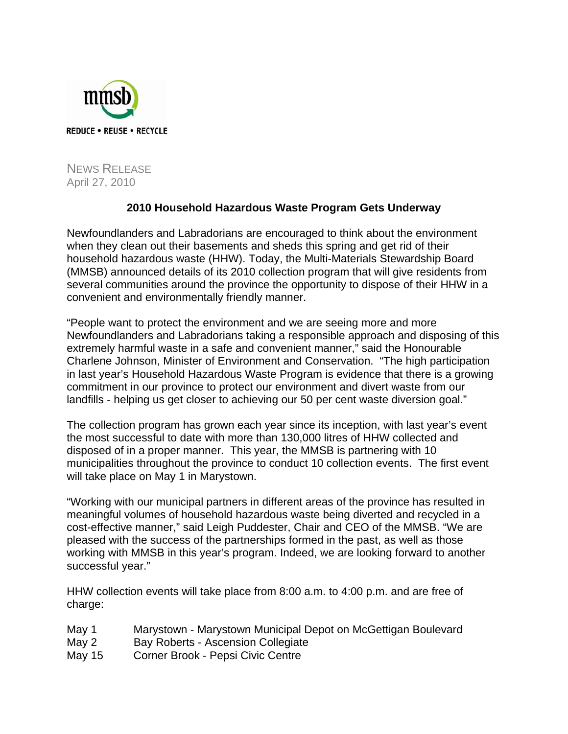

NEWS RELEASE April 27, 2010

## **2010 Household Hazardous Waste Program Gets Underway**

Newfoundlanders and Labradorians are encouraged to think about the environment when they clean out their basements and sheds this spring and get rid of their household hazardous waste (HHW). Today, the Multi-Materials Stewardship Board (MMSB) announced details of its 2010 collection program that will give residents from several communities around the province the opportunity to dispose of their HHW in a convenient and environmentally friendly manner.

"People want to protect the environment and we are seeing more and more Newfoundlanders and Labradorians taking a responsible approach and disposing of this extremely harmful waste in a safe and convenient manner," said the Honourable Charlene Johnson, Minister of Environment and Conservation. "The high participation in last year's Household Hazardous Waste Program is evidence that there is a growing commitment in our province to protect our environment and divert waste from our landfills - helping us get closer to achieving our 50 per cent waste diversion goal."

The collection program has grown each year since its inception, with last year's event the most successful to date with more than 130,000 litres of HHW collected and disposed of in a proper manner. This year, the MMSB is partnering with 10 municipalities throughout the province to conduct 10 collection events. The first event will take place on May 1 in Marystown.

"Working with our municipal partners in different areas of the province has resulted in meaningful volumes of household hazardous waste being diverted and recycled in a cost-effective manner," said Leigh Puddester, Chair and CEO of the MMSB. "We are pleased with the success of the partnerships formed in the past, as well as those working with MMSB in this year's program. Indeed, we are looking forward to another successful year."

HHW collection events will take place from 8:00 a.m. to 4:00 p.m. and are free of charge:

May 1 Marystown - Marystown Municipal Depot on McGettigan Boulevard May 2 Bay Roberts - Ascension Collegiate May 15 Corner Brook - Pepsi Civic Centre